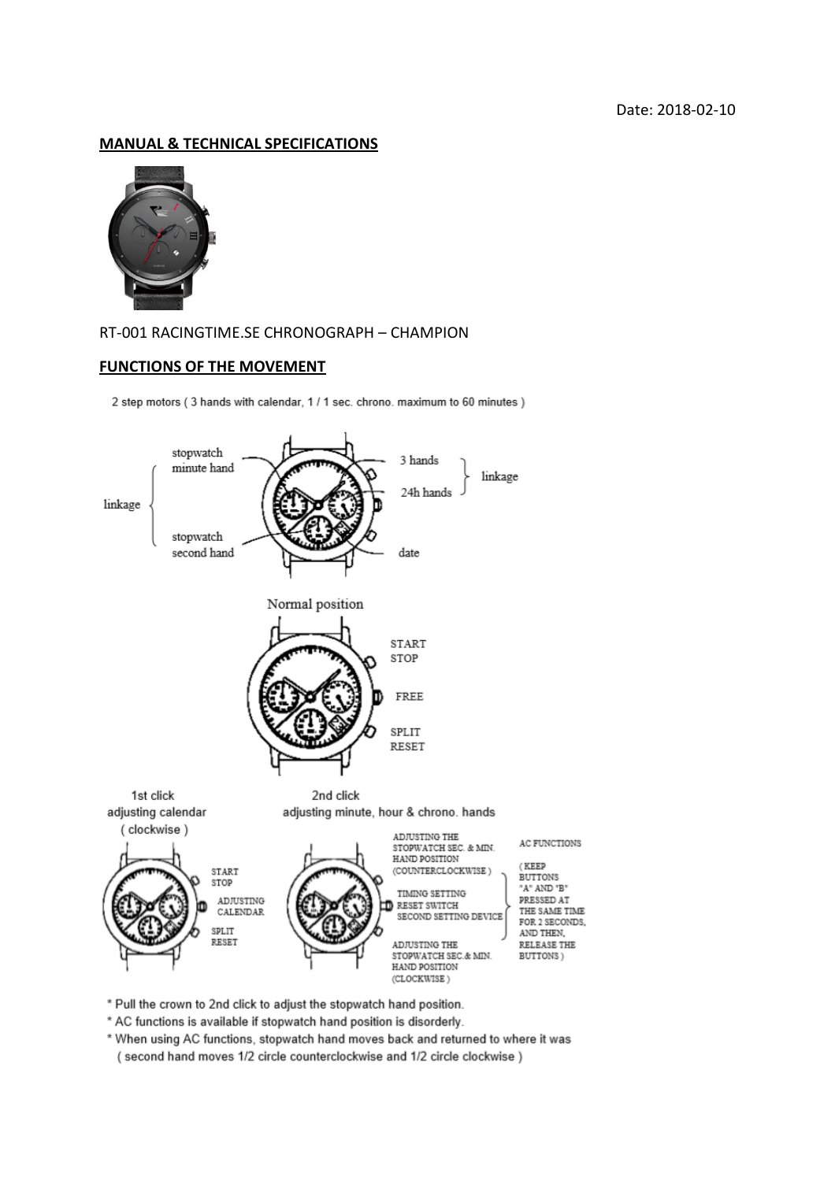### **MANUAL & TECHNICAL SPECIFICATIONS**



## RT-001 RACINGTIME.SE CHRONOGRAPH – CHAMPION

#### **FUNCTIONS OF THE MOVEMENT**

2 step motors (3 hands with calendar, 1 / 1 sec. chrono. maximum to 60 minutes)



- \* Pull the crown to 2nd click to adjust the stopwatch hand position.
- \* AC functions is available if stopwatch hand position is disorderly.
- \* When using AC functions, stopwatch hand moves back and returned to where it was (second hand moves 1/2 circle counterclockwise and 1/2 circle clockwise)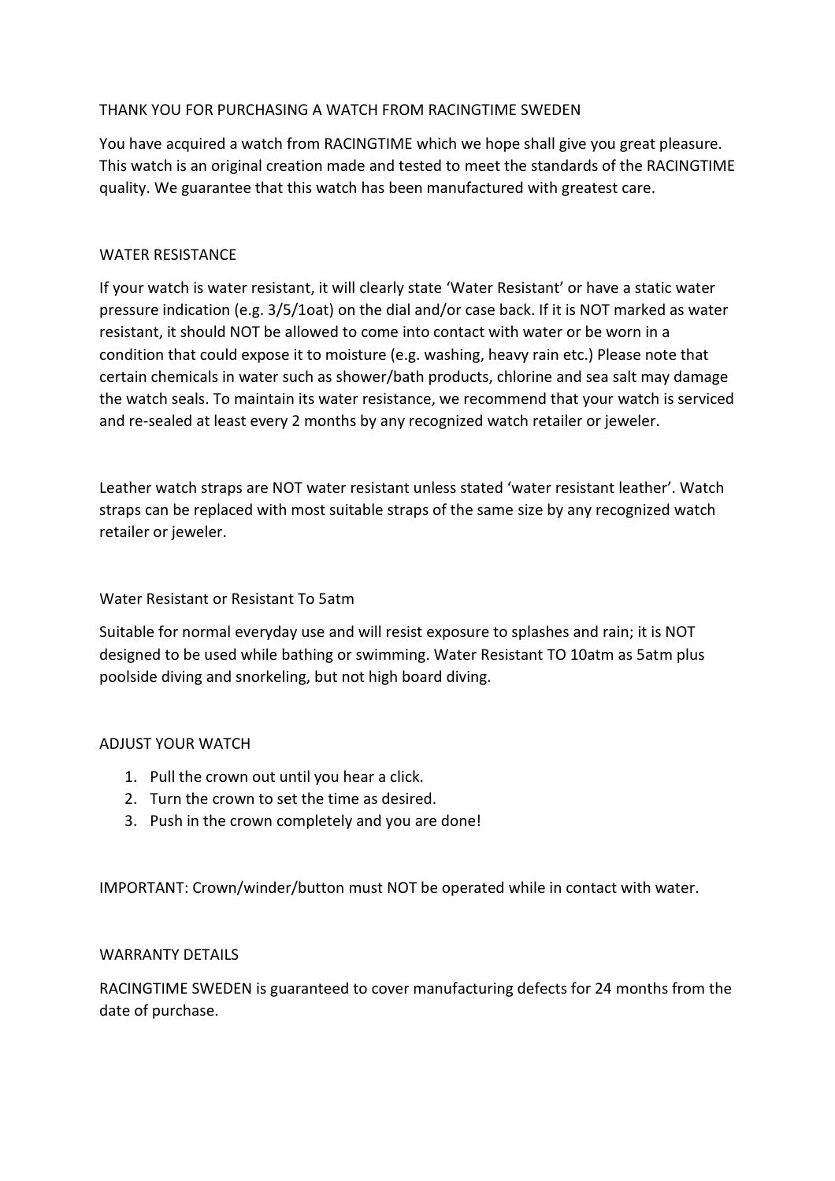# THANK YOU FOR PURCHASING A WATCH FROM RACINGTIME SWEDEN

You have acquired a watch from RACINGTIME which we hope shall give you great pleasure. This watch is an original creation made and tested to meet the standards of the RACINGTIME quality. We guarantee that this watch has been manufactured with greatest care.

# WATER RESISTANCE

If your watch is water resistant, it will clearly state 'Water Resistant' or have a static water pressure indication (e.g. 3/5/1oat) on the dial and/or case back. If it is NOT marked as water resistant, it should NOT be allowed to come into contact with water or be worn in a condition that could expose it to moisture (e.g. washing, heavy rain etc.) Please note that certain chemicals in water such as shower/bath products, chlorine and sea salt may damage the watch seals. To maintain its water resistance, we recommend that your watch is serviced and re-sealed at least every 2 months by any recognized watch retailer or jeweler.

Leather watch straps are NOT water resistant unless stated 'water resistant leather'. Watch straps can be replaced with most suitable straps of the same size by any recognized watch retailer or jeweler.

# Water Resistant or Resistant To 5atm

Suitable for normal everyday use and will resist exposure to splashes and rain; it is NOT designed to be used while bathing or swimming. Water Resistant TO 10atm as 5atm plus poolside diving and snorkeling, but not high board diving.

# ADJUST YOUR WATCH

- 1. Pull the crown out until you hear a click.
- 2. Turn the crown to set the time as desired.
- 3. Push in the crown completely and you are done!

IMPORTANT: Crown/winder/button must NOT be operated while in contact with water.

# WARRANTY DETAILS

RACINGTIME SWEDEN is guaranteed to cover manufacturing defects for 24 months from the date of purchase.